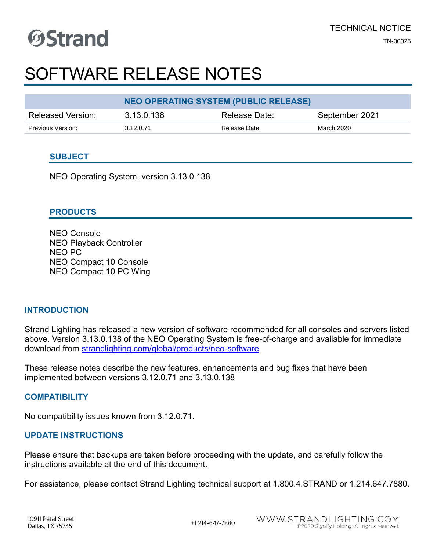### SOFTWARE RELEASE NOTES

|                   | <b>NEO OPERATING SYSTEM (PUBLIC RELEASE)</b> |               |                |  |  |  |  |  |
|-------------------|----------------------------------------------|---------------|----------------|--|--|--|--|--|
| Released Version: | 3.13.0.138                                   | Release Date: | September 2021 |  |  |  |  |  |
| Previous Version: | 3.12.0.71                                    | Release Date: | March 2020     |  |  |  |  |  |

#### **SUBJECT**

NEO Operating System, version 3.13.0.138

#### **PRODUCTS**

NEO Console NEO Playback Controller NEO PC NEO Compact 10 Console NEO Compact 10 PC Wing

#### **INTRODUCTION**

Strand Lighting has released a new version of software recommended for all consoles and servers listed above. Version 3.13.0.138 of the NEO Operating System is free-of-charge and available for immediate download from [strandlighting.com/global/products/neo-software](http://www.strandlighting.com/global/products/neo-software)

These release notes describe the new features, enhancements and bug fixes that have been implemented between versions 3.12.0.71 and 3.13.0.138

#### **COMPATIBILITY**

No compatibility issues known from 3.12.0.71.

#### **UPDATE INSTRUCTIONS**

Please ensure that backups are taken before proceeding with the update, and carefully follow the instructions available at the end of this document.

For assistance, please contact Strand Lighting technical support at 1.800.4.STRAND or 1.214.647.7880.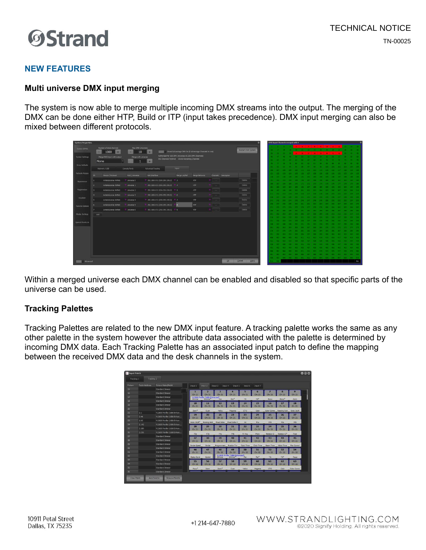#### **NEW FEATURES**

#### **Multi universe DMX input merging**

The system is now able to merge multiple incoming DMX streams into the output. The merging of the DMX can be done either HTP, Build or ITP (input takes precedence). DMX input merging can also be mixed between different protocols.

| Number of desk channels<br>Max DMX Universes<br>System (DMX)<br>Restart DMX System<br>Strand Advantage DNX On (0 Advantage Channels In Use)<br>1000<br>10<br>$+$<br>$\sim$<br>$+$<br>$\sim$ | $s \mid s \mid r \mid s \mid s \mid u \mid u \mid u$                  |
|---------------------------------------------------------------------------------------------------------------------------------------------------------------------------------------------|-----------------------------------------------------------------------|
|                                                                                                                                                                                             |                                                                       |
|                                                                                                                                                                                             |                                                                       |
| Authorized for 100 DMX Universes (51200 DMX Channels)<br><b>System Settings</b><br>Merge DMX input with output<br>Merge with universe                                                       |                                                                       |
| 995 Channels Patched 50205 Remaining Channels<br>None<br>$+$                                                                                                                                |                                                                       |
| Show Defaults                                                                                                                                                                               |                                                                       |
| trout<br>Console Ports<br>Network / USB<br>Advanced Routing                                                                                                                                 |                                                                       |
| Network Access                                                                                                                                                                              |                                                                       |
| Port / Universe<br>Net Interface<br>Merge Lini/Pal<br>Merge Behavior<br><b>B</b><br>Device / Protocol<br>Channels Description                                                               |                                                                       |
| HTP.<br>Delete:<br>ArtisticLicense Arthlet<br>192.168.0.51 (255.255.255.0) #3<br>Universe 0<br>o.<br>Appearance                                                                             |                                                                       |
| Delete<br><b>HTP</b><br>Artistici.cense Artfiet<br>Liniverse 1<br>192.168.0.51 (255.255.255.0)<br>×                                                                                         |                                                                       |
| Registration<br>Delete:<br><b>HTP</b><br>Artisticizense Arthet<br>Universe 2<br>192.168.0.51 (255.255.255.0) 7.5<br>÷                                                                       |                                                                       |
| Delete                                                                                                                                                                                      |                                                                       |
| HTP<br>ArtisticLicense Arthlet<br><b>Universe 3</b><br>192.168.0.51 (255.255.255.0) * 6<br>и<br><b>Visualzer</b>                                                                            |                                                                       |
| Delete.<br>HTP.<br>ArtisticLicense Artivet<br>$\frac{1}{2}$ 192.168.0.51 (255.255.255.0) $\frac{1}{2}$ 7<br>Universe 4                                                                      |                                                                       |
| Delete<br><b>HTP</b><br>192.168.0.51 (255.255.255.0)<br>ArtisticLicense Artfield<br><b>Liniverse 5</b><br>Remote Options                                                                    |                                                                       |
| Delete:<br><b>HTP</b><br>192.168.0.51 (255.255.255.0) 7.9<br>ArtisticLicense Artifet<br>Universe 6                                                                                          |                                                                       |
| Media Settings<br>Add                                                                                                                                                                       |                                                                       |
|                                                                                                                                                                                             |                                                                       |
| Special Shortouts                                                                                                                                                                           |                                                                       |
|                                                                                                                                                                                             |                                                                       |
|                                                                                                                                                                                             |                                                                       |
|                                                                                                                                                                                             |                                                                       |
| AN C                                                                                                                                                                                        |                                                                       |
|                                                                                                                                                                                             |                                                                       |
|                                                                                                                                                                                             |                                                                       |
|                                                                                                                                                                                             |                                                                       |
|                                                                                                                                                                                             | <b>AGA</b><br>40.1<br>an o                                            |
| at i<br><b>ADR</b>                                                                                                                                                                          | <b>KAK</b><br><b>SAY</b><br>508.1<br>509<br><b>Cha</b><br><b>SOVE</b> |
| <b>OK</b><br>Cancer<br>Apply<br>Advanced                                                                                                                                                    | ALL.                                                                  |

Within a merged universe each DMX channel can be enabled and disabled so that specific parts of the universe can be used.

#### **Tracking Palettes**

Tracking Palettes are related to the new DMX input feature. A tracking palette works the same as any other palette in the system however the attribute data associated with the palette is determined by incoming DMX data. Each Tracking Palette has an associated input patch to define the mapping between the received DMX data and the desk channels in the system.

| Tracking 1      | Trasking 2           |                             |                        |                                 |                    |                                  |                 |                   |                  |                         |                  |
|-----------------|----------------------|-----------------------------|------------------------|---------------------------------|--------------------|----------------------------------|-----------------|-------------------|------------------|-------------------------|------------------|
| Focture         | <b>Patch Address</b> | Fixture Make Model          | Input 1                | Input 2                         | Input 3<br>Input 4 | Input 5                          | Input 6         | Input 7           |                  |                         |                  |
| 15              |                      | <b>Standard Dimmer</b>      |                        |                                 | a.                 |                                  |                 |                   |                  |                         |                  |
|                 |                      | Standard Dimmer             | п<br>Qn: 21            | Oh: 23                          | Ch: 21             | Or: 21                           | 5<br>Ch: 21     | Ch: 21            | Oh: 21           | 8<br>Ch: 21             | 9<br>Ch: 21      |
|                 |                      | <b>Standard Dimmer</b>      |                        | VL2600 Profile (16Bit Enhanced) |                    | Dao <sup>8</sup>                 | Tit             | $7k^3$            | <b>Focus</b>     | Focus <sup>*</sup>      | Zoom             |
|                 |                      | Standard Dimmer             | 10                     | 11                              | 12                 | 13                               | 14              | 15                | 16               | 17                      | 18               |
|                 |                      | <b>Standard Dimmer</b>      | Or: 21                 | Ch <sub>2</sub>                 | Ch: 21             | Or: 21                           | O <sub>21</sub> | Ch: 21            | Qn:21            | C <sub>121</sub>        | Ch: 21           |
|                 |                      | Standard Dimmer             | Zoom <sup>*</sup>      | O(n)                            | Yellow             | Magenta                          | CTO             | Color             | Color Contro     | Rotating Gob            | Globo Idv/R      |
| 21              | 2.1                  | VL2600 Profile (168lt Enhan | 19                     | 20                              | 21                 | 22                               | 23              | 24                | 25               | 26                      | 27               |
| 22              | 2.48                 | VL2600 Profile (168it Enhan | Ch: 21                 | Ch: 23                          | Ch: 21             | Or: 21                           | Ch: 22          | Ch: 21            | Orc2             | Ch: 21                  | Ch: 21           |
|                 | 2.95                 | VL2600 Profile (16Bit Enhan | Gobo IdvR <sup>*</sup> | Rotating Gob                    | Fired Gobo         | Fixed Gobo C                     | 266             | Fia               | Fili             | E2a                     | F2b              |
|                 | 2.142                | VL2600 Profile (168it Enhan | 28                     | 29                              | 30                 | 31                               | 32              | 33                | 34               | 35                      | 36               |
|                 | 2.189                | VL2600 Profile (16Bit Enhan | Or: 21                 | Ch <sub>L</sub> 21              | Chi21              | Ch: 21                           | Ch: 21          | Ch: 25            | Qn21             | Ch: 21                  | Ch <sub>21</sub> |
| 26 <sub>1</sub> | 2.236                | VL2600 Profile (168lt Enhan | F3a                    | F3h                             | F4a                | 646                              | Fr Ang          | <b>Prism</b>      | Rotation C       | Rotation C <sup>8</sup> | <b>Frost</b>     |
| 27              |                      | Standard Dimmer             | 37                     | 38                              | 39                 | 40                               | 41              | 42                | 43               | 44                      | 45               |
| 28              |                      | Standard Dimmer             | Or: 21                 | Oh: 22                          | Chi 21             | Or: 21                           | Orc 21          | Or: 21            | Or: 21           | Ch: 21                  | Ch: 21           |
| 29              |                      | <b>Standard Dimmer</b>      | Strobe Speed           | Strobe                          | <b>Programmers</b> | <b>Position Tim</b>              | Optic Time      | Color Times       | <b>Beam Time</b> | Gobo Time               | Fien Control     |
| 30              |                      | Standard Dimmer             | 46                     | 47                              | 48                 | 49                               | 50              | 51                | 52               | 53                      | 54               |
| 31              |                      | <b>Standard Dimmer</b>      | On: 21                 | Ch <sub>21</sub>                | <b>Cht 22</b>      | Ch: 22                           | <b>Ch: 22</b>   | <b>Ch: 22</b>     | Oh: 22           | Ch: 22                  | Ch: 22           |
| 32              |                      | <b>Standard Dimmer</b>      | Optics Style           | Corenol                         |                    | VL 2600 Profile (168it Enhanced) |                 | $p_{nn}$          | Tě               | Ta*                     | Focus            |
| 33              |                      | <b>Standard Dimmer</b>      | 55                     | 56                              | 57                 | 58                               | 59              | 60                | 61               | 62                      | 63               |
| 34              |                      | Standard Dimmer             | Qn: 22                 | Chr 22                          | Ch: 22             | Qn: 22                           | Ch: 22          | C <sub>1</sub> 22 | Oh: 22           | Ch: 22                  | Ch: 22           |
| 35              |                      | Standard Dimmer             | Focus'                 | Zoom                            | Zoom <sup>*</sup>  | <b>Oven</b>                      | Yellow          | Magenta           | CTO              | Color                   | Color Contro     |
| 36              |                      | <b>Standard Dimmer</b>      |                        |                                 |                    |                                  |                 |                   |                  |                         |                  |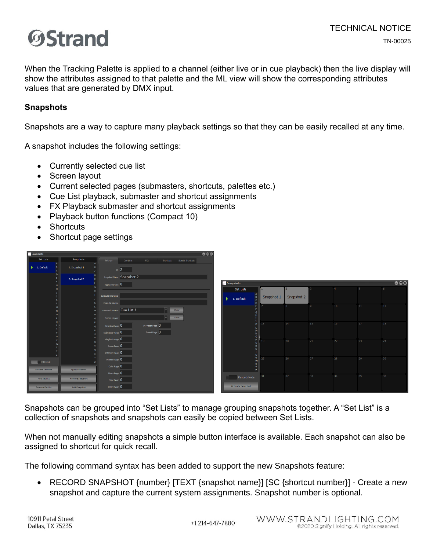

When the Tracking Palette is applied to a channel (either live or in cue playback) then the live display will show the attributes assigned to that palette and the ML view will show the corresponding attributes values that are generated by DMX input.

#### **Snapshots**

Snapshots are a way to capture many playback settings so that they can be easily recalled at any time.

A snapshot includes the following settings:

- Currently selected cue list
- Screen layout
- Current selected pages (submasters, shortcuts, palettes etc.)
- Cue List playback, submaster and shortcut assignments
- FX Playback submaster and shortcut assignments
- Playback button functions (Compact 10)
- Shortcuts
- Shortcut page settings

| <b>Shapshots</b>                 |                 |                                                                    | $\bullet\bullet\bullet$ |                          |            |            |    |    |    |                         |
|----------------------------------|-----------------|--------------------------------------------------------------------|-------------------------|--------------------------|------------|------------|----|----|----|-------------------------|
| Set Lists                        | Snapshots       | Settings<br>Shortcuts Special Shortcuts<br><b>Cue Lists</b><br>FXs |                         |                          |            |            |    |    |    |                         |
| $\blacktriangleright$ 1. Default | 1. Snapshot 1   | $\overline{D}$ 2                                                   |                         |                          |            |            |    |    |    |                         |
|                                  | 2. Snapshot 2   | Snapshot Name Snapshot 2                                           |                         |                          |            |            |    |    |    |                         |
|                                  |                 | Apply Shortcut 0                                                   |                         | Snapshots                |            |            |    |    |    | $\bullet\bullet\bullet$ |
|                                  |                 |                                                                    |                         | Set Lists                |            |            |    |    |    |                         |
|                                  |                 | <b>Execute Shortcuts</b>                                           |                         | 1. Default               | Snapshot 1 | Snapshot 2 |    |    |    |                         |
|                                  |                 | <b>Execute Macros</b>                                              |                         |                          |            |            |    | 10 | 11 | 12 <sub>2</sub>         |
|                                  |                 | Selected Cue List Cue List 1<br>Clear                              |                         |                          |            |            |    |    |    |                         |
|                                  |                 | Clear<br>Screen Layout<br>$\overline{\mathbf{v}}$                  |                         |                          |            |            |    |    |    |                         |
|                                  |                 | WN Preset Page 0<br>Shortcut Page 0                                |                         |                          | 13         | 14         | 15 | 16 | 17 | 18                      |
|                                  |                 | Preset Page 0<br>Submaster Page 0                                  |                         | o II                     |            |            |    |    |    |                         |
|                                  |                 | Playback Page 0                                                    |                         |                          | P 19       | 20         | 21 | 22 | 23 | 24                      |
|                                  |                 | Group Page 0                                                       |                         |                          |            |            |    |    |    |                         |
|                                  |                 | Intensity Page 0                                                   |                         | U.                       |            |            |    |    |    |                         |
| Edit Mode                        |                 | Position Page 0                                                    |                         |                          | $V$   25   | 26         | 27 | 28 | 29 | 30 <sub>o</sub>         |
| <b>Activate Selected</b>         | Apply Snapshot  | Color Page 0                                                       |                         |                          |            |            |    |    |    |                         |
|                                  |                 | Beam Page 0                                                        |                         |                          | 31         | 32         | 33 | 34 | 35 | 36                      |
| Add Set List                     | Remove Snapshot | Edge Page 0                                                        |                         | Playback Mode            |            |            |    |    |    |                         |
| Remove Set List                  | Add Snapshot    | Utility Page 0                                                     |                         | <b>Activate Selected</b> |            |            |    |    |    |                         |
|                                  |                 |                                                                    |                         |                          |            |            |    |    |    |                         |

Snapshots can be grouped into "Set Lists" to manage grouping snapshots together. A "Set List" is a collection of snapshots and snapshots can easily be copied between Set Lists.

When not manually editing snapshots a simple button interface is available. Each snapshot can also be assigned to shortcut for quick recall.

The following command syntax has been added to support the new Snapshots feature:

• RECORD SNAPSHOT {number} [TEXT {snapshot name}] [SC {shortcut number}] - Create a new snapshot and capture the current system assignments. Snapshot number is optional.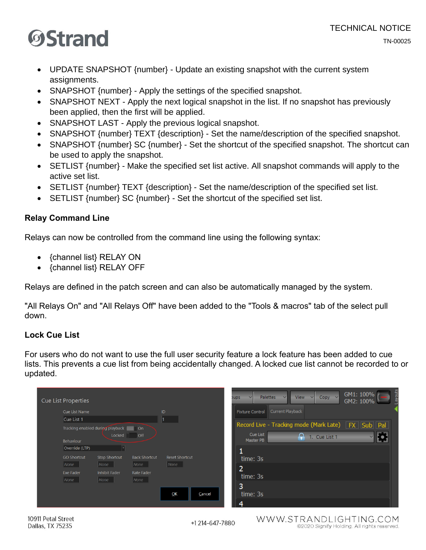# **OStrand**

- UPDATE SNAPSHOT {number} Update an existing snapshot with the current system assignments.
- SNAPSHOT {number} Apply the settings of the specified snapshot.
- SNAPSHOT NEXT Apply the next logical snapshot in the list. If no snapshot has previously been applied, then the first will be applied.
- SNAPSHOT LAST Apply the previous logical snapshot.
- SNAPSHOT {number} TEXT {description} Set the name/description of the specified snapshot.
- SNAPSHOT {number} SC {number} Set the shortcut of the specified snapshot. The shortcut can be used to apply the snapshot.
- SETLIST {number} Make the specified set list active. All snapshot commands will apply to the active set list.
- SETLIST {number} TEXT {description} Set the name/description of the specified set list.
- SETLIST {number} SC {number} Set the shortcut of the specified set list.

#### **Relay Command Line**

Relays can now be controlled from the command line using the following syntax:

- {channel list} RELAY ON
- {channel list} RELAY OFF

Relays are defined in the patch screen and can also be automatically managed by the system.

"All Relays On" and "All Relays Off" have been added to the "Tools & macros" tab of the select pull down.

#### **Lock Cue List**

For users who do not want to use the full user security feature a lock feature has been added to cue lists. This prevents a cue list from being accidentally changed. A locked cue list cannot be recorded to or updated.

| Cue List Name      |                                      |                      | ID                    |        | <b>Fixture Control</b> | Current Playback                                       |  |
|--------------------|--------------------------------------|----------------------|-----------------------|--------|------------------------|--------------------------------------------------------|--|
| Cue List 1         |                                      |                      | 1                     |        |                        |                                                        |  |
|                    | Tracking enabled during playback     | On                   |                       |        |                        | Record Live - Tracking mode (Mark Late) FX   Sub   Pal |  |
| Behaviour          | Locked                               | <b>Off</b>           |                       |        | Cue List<br>Master PB  | ₽<br>1. Cue List 1                                     |  |
| Override (LTP)     |                                      |                      |                       |        |                        |                                                        |  |
| <b>GO Shortcut</b> | Stop Shortcut                        | <b>Back Shortcut</b> | <b>Reset Shortcut</b> |        | time: 3s               |                                                        |  |
| None               | None                                 | None                 | $\vert$ None          |        | ר                      |                                                        |  |
| Exe Fader<br>None  | <b>Inhibit Fader</b><br>$\vert$ None | Rate Fader<br>None   |                       |        | ے<br>time: 3s          |                                                        |  |
|                    |                                      |                      |                       |        | 3                      |                                                        |  |
|                    |                                      |                      | OK                    | Cancel | time: 3s               |                                                        |  |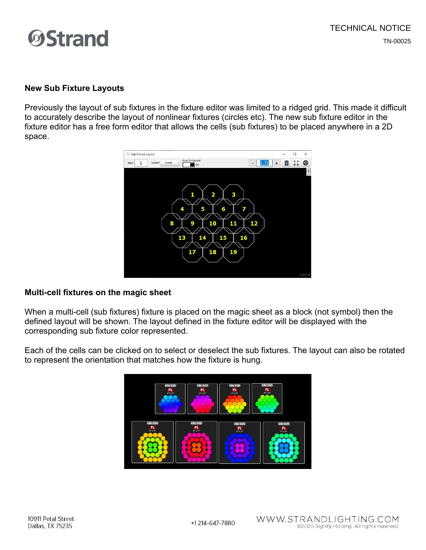#### **New Sub Fixture Layouts**

Previously the layout of sub fixtures in the fixture editor was limited to a ridged grid. This made it difficult to accurately describe the layout of nonlinear fixtures (circles etc). The new sub fixture editor in the fixture editor has a free form editor that allows the cells (sub fixtures) to be placed anywhere in a 2D space.



#### **Multi-cell fixtures on the magic sheet**

When a multi-cell (sub fixtures) fixture is placed on the magic sheet as a block (not symbol) then the defined layout will be shown. The layout defined in the fixture editor will be displayed with the corresponding sub fixture color represented.

Each of the cells can be clicked on to select or deselect the sub fixtures. The layout can also be rotated to represent the orientation that matches how the fixture is hung.

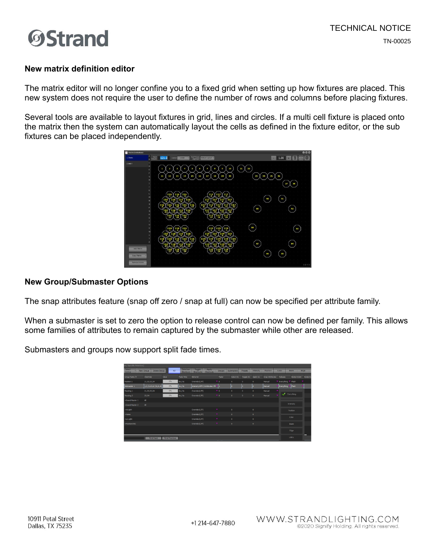

#### **New matrix definition editor**

The matrix editor will no longer confine you to a fixed grid when setting up how fixtures are placed. This new system does not require the user to define the number of rows and columns before placing fixtures.

Several tools are available to layout fixtures in grid, lines and circles. If a multi cell fixture is placed onto the matrix then the system can automatically layout the cells as defined in the fixture editor, or the sub fixtures can be placed independently.



#### **New Group/Submaster Options**

The snap attributes feature (snap off zero / snap at full) can now be specified per attribute family.

When a submaster is set to zero the option to release control can now be defined per family. This allows some families of attributes to remain captured by the submaster while other are released.

Submasters and groups now support split fade times.

| s, Specific Palettes)   |                               |                      |                        |                                                  |                           |                   |           |              |                 |                                  |                    |                 |
|-------------------------|-------------------------------|----------------------|------------------------|--------------------------------------------------|---------------------------|-------------------|-----------|--------------|-----------------|----------------------------------|--------------------|-----------------|
| Select<br><b>Active</b> | Delete Group<br>New Group     | All                  | Selection<br>Shortcuts | Apply<br>Toggle<br><b>Shortcuts</b><br>Shortcuts | Groups                    | <b>Submasters</b> | Presets   | Intensity    | Position        | Color                            | Beam               | Edge            |
| Group Name $\Delta$     | <b>Channels</b>               | Value                | Fade Time              | Behavior                                         | Fader                     | Select SC         | Toggle SC | Apply SC     | Snap Attributes | Release                          | <b>Bump Action</b> | <b>Burro SC</b> |
| Position 1              | 21.22,23,24                   | 0%                   | Os / Os                | Override (LTP)                                   | $\bullet$ 0               | $\mathbf{0}$      | $\circ$   | $\circ$      | Manual          | <b>V</b> Everything <sup>v</sup> | Flash              |                 |
| Submaster 1             | 1, 2, 3, 4, 5, 6, 7, 8, 9, 10 | 0%                   | $\log$ / Os            | Intensity HTP / Attributes LTP                   |                           |                   |           | la.          | Manual          | Everything                       | <b>Flash</b>       |                 |
| Trading 1               | 21, 22, 23, 24                | 0%                   | 0s / 0s                | Override (LTP)                                   | $\overline{\mathbf{v}}$ 0 | $\Omega$          | $\theta$  | $\mathbf{0}$ | Manual          |                                  |                    |                 |
| Tradding 2              | 23,24                         | 0%                   | 0s / 0s                | Override (LTP)                                   | 70                        | $\mathbf{0}$      | $\circ$   | $\circ$      | Manual          |                                  | Everything         |                 |
| <b>»Grand Master 1</b>  | $\mathbf{A}\mathbf{I}$        |                      |                        |                                                  |                           |                   |           |              |                 |                                  |                    |                 |
| «Grand Master 2         | All.                          |                      |                        |                                                  |                           |                   |           |              |                 |                                  | Intensity          |                 |
| <b>Hillight</b>         |                               |                      |                        | Override (LTP)                                   |                           | m.                |           | $\circ$      |                 |                                  | Position           |                 |
| *Home                   |                               |                      |                        | Override (LTP)                                   | ×.                        | $\mathbf{0}$      |           | $\circ$      |                 |                                  |                    |                 |
| »Lo Light               |                               |                      |                        | Override (LTP)                                   |                           | $\mathbf{0}$      |           | $\circ$      |                 |                                  | Color              |                 |
| ~Position DSC           |                               |                      |                        | Override (LTP)                                   | $\mathbf{v}$              | $\bullet$         |           | $\circ$      |                 |                                  | Beam               |                 |
|                         |                               |                      |                        |                                                  |                           |                   |           |              |                 |                                  | Edge               |                 |
|                         | <b>Find Next</b>              | <b>Find Previous</b> |                        |                                                  |                           |                   |           |              |                 |                                  | utaty              | -               |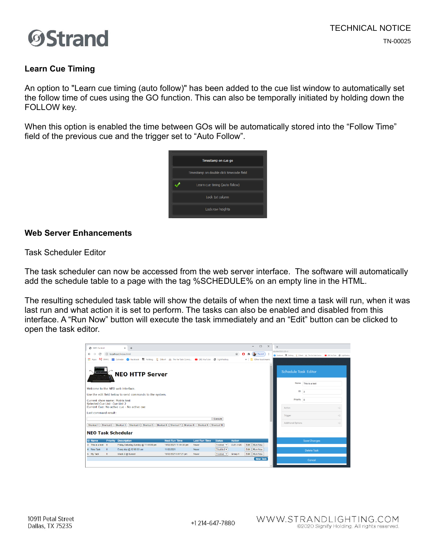

#### **Learn Cue Timing**

An option to "Learn cue timing (auto follow)" has been added to the cue list window to automatically set the follow time of cues using the GO function. This can also be temporally initiated by holding down the FOLLOW key.

When this option is enabled the time between GOs will be automatically stored into the "Follow Time" field of the previous cue and the trigger set to "Auto Follow".



#### **Web Server Enhancements**

Task Scheduler Editor

The task scheduler can now be accessed from the web server interface. The software will automatically add the schedule table to a page with the tag %SCHEDULE% on an empty line in the HTML.

The resulting scheduled task table will show the details of when the next time a task will run, when it was last run and what action it is set to perform. The tasks can also be enabled and disabled from this interface. A "Run Now" button will execute the task immediately and an "Edit" button can be clicked to open the task editor.

| <b>@</b> NEO Control                                            |                                                          | $x +$                                                                                                               |                        |                      |                |               |      | $\Box$<br>$\overline{\phantom{a}}$ | $\times$ | ule.html?SCH.ID=3                                                                   |                     |                 |
|-----------------------------------------------------------------|----------------------------------------------------------|---------------------------------------------------------------------------------------------------------------------|------------------------|----------------------|----------------|---------------|------|------------------------------------|----------|-------------------------------------------------------------------------------------|---------------------|-----------------|
| G<br>$\leftarrow$<br>$\rightarrow$                              |                                                          | (i) localhost/index.html                                                                                            |                        |                      |                | ☆             |      | <b>Re</b> Paused                   |          | G Facebook M Falblog & Dibert JJ, The Far Side Comic. @ (36) YouTube @ LightFactory |                     |                 |
|                                                                 |                                                          | : Apps LS EMAIL 第 Calendar ● Facebook ■ Failblog 是 Dilbert 总 The Far Side Comic ■ (36) YouTube ● LightFactory       |                        |                      |                |               |      | » Cther bookmarks                  |          |                                                                                     |                     |                 |
| *********<br>a wa                                               |                                                          | <b>NEO HTTP Server</b>                                                                                              |                        |                      |                |               |      |                                    |          | <b>Schedule Task Editor</b>                                                         |                     |                 |
|                                                                 |                                                          | Welcome to the NEO web Interface.                                                                                   |                        |                      |                |               |      |                                    |          |                                                                                     | Name This is a test |                 |
|                                                                 |                                                          |                                                                                                                     |                        |                      |                |               |      |                                    |          | $ID \mid 3$                                                                         |                     |                 |
|                                                                 | Use the edit field below to send commands to the system. |                                                                                                                     |                        |                      |                |               |      |                                    |          |                                                                                     |                     |                 |
| Current show name: Matrix test<br>Selected Cue List: Cue List 2 |                                                          |                                                                                                                     |                        |                      |                |               |      |                                    |          | Priority 0                                                                          |                     |                 |
|                                                                 |                                                          | Current Cue: No active cue - No active cue                                                                          |                        |                      |                |               |      |                                    |          | Action                                                                              |                     |                 |
| Last command result:                                            |                                                          |                                                                                                                     |                        |                      |                |               |      |                                    |          |                                                                                     |                     |                 |
|                                                                 |                                                          |                                                                                                                     |                        |                      | Execute        |               |      |                                    |          | Trigger                                                                             |                     | $\triangleleft$ |
|                                                                 |                                                          |                                                                                                                     |                        |                      |                |               |      |                                    |          | Additional Options                                                                  |                     | a               |
|                                                                 |                                                          | Shortcut 1   Shortcut 2   Shortcut 3   Shortcut 4   Shortcut 5   Shortcut 6   Shortcut 7   Shortcut 8   Shortcut 10 |                        |                      |                |               |      |                                    |          |                                                                                     |                     |                 |
| <b>NEO Task Schedular</b>                                       |                                                          |                                                                                                                     |                        |                      |                |               |      |                                    |          |                                                                                     |                     |                 |
| <b>ID Name</b>                                                  |                                                          | <b>Priority Description</b>                                                                                         | <b>Next Run Time</b>   | <b>Last Run Time</b> | <b>Status</b>  | <b>Action</b> |      |                                    |          |                                                                                     | Save Changes        |                 |
| 3 This is a test 0                                              |                                                          | Friday, Saturday, Sunday @ 11:44:00 pm                                                                              | 14/02/2021 11:44:38 pm | Never                | Enabled $\sim$ | CUE 3 GO      |      | Edit Run Now                       |          |                                                                                     |                     |                 |
| 4 New Task                                                      | $\overline{0}$                                           | Every day @ 12:00:00 am                                                                                             | 11/02/2021             | Never                | Disabled ~     |               | Edit | Run Now                            |          |                                                                                     | <b>Delete Task</b>  |                 |
| 5 My Task                                                       | $\theta$                                                 | Week 3 @ Sunset                                                                                                     | 15/02/2021 6:07:21 pm  | <b>Never</b>         | Enabled $\sim$ | Group 4       |      | Edit Run Now                       |          |                                                                                     |                     |                 |
|                                                                 |                                                          |                                                                                                                     |                        |                      |                |               |      | New Task                           |          |                                                                                     | Cancel              |                 |

+1 214-647-7880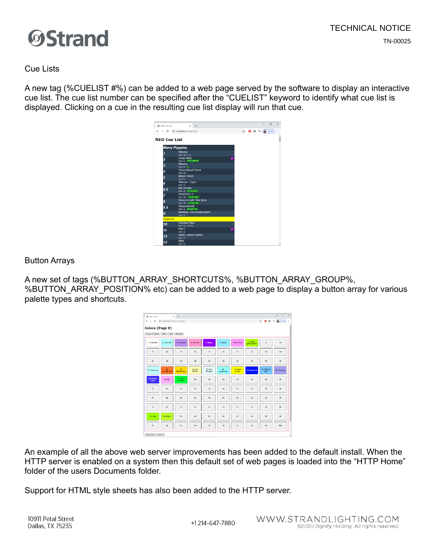



Cue Lists

A new tag (%CUELIST #%) can be added to a web page served by the software to display an interactive cue list. The cue list number can be specified after the "CUELIST" keyword to identify what cue list is displayed. Clicking on a cue in the resulting cue list display will run that cue.



Button Arrays

A new set of tags (%BUTTON\_ARRAY\_SHORTCUTS%, %BUTTON\_ARRAY\_GROUP%, %BUTTON\_ARRAY\_POSITION% etc) can be added to a web page to display a button array for various palette types and shortcuts.

|                    |                          |                         |                    |                      |                   |                         |                         | $\frac{1}{24}$      | <b>0 * 可 Bi Faced</b> |
|--------------------|--------------------------|-------------------------|--------------------|----------------------|-------------------|-------------------------|-------------------------|---------------------|-----------------------|
|                    | Colors (Page 0)          |                         |                    |                      |                   |                         |                         |                     |                       |
|                    | Group Position Beam Edge | Shortcuts               |                    |                      |                   |                         |                         |                     |                       |
| 1. Gold 152        | 2. Steel 201             | 3. Sup Pink             | 4. Set Pink        | 5. Magic             | 6. Bank           | 7. Park Pink            | 8. Park<br>grasniyallow | $\overline{9}$      | 10                    |
| $\mathbf{H}$       | 12                       | 13                      | 14                 | 15                   | 16                | 17                      | 18                      | 19                  | 20                    |
| 21                 | $\overline{22}$          | 23                      | 24                 | 25                   | 26                | $\overline{\mathbf{z}}$ | 28                      | 29                  | 30                    |
| 31. Chairman       | 32.<br><b>Northbrook</b> | 33.<br><b>Birdwoman</b> | 34. Burt<br>(Park) | 35. Park<br>Daylight | 36.<br>Lightening | 37. Park<br>yellow      | <b>38. Supercal</b>     | 39. Step in<br>time | 40. Rooftop           |
| 41. Parlor<br>Blue | 42 Kite                  | 43. Yeck<br>Green       | $\overline{44}$    | 45                   | 46                | 47                      | 43                      | 49                  | 50                    |
| 51                 | 52                       | 53                      | 54                 | 55                   | 56                | 57                      | 58                      | 59                  | 60                    |
| 61                 | 62                       | 63                      | 64                 | 65                   | 66                | 67                      | 63                      | 69                  | 70                    |
| T1                 | 72                       | 73                      | 74                 | 75                   | 76                | $\boldsymbol{\pi}$      | 73                      | 79                  | $\overline{a}$        |
| 81. Fall           | 82. Fall 2               | 83                      | 84                 | 85                   | 86                | 87                      | 83                      | 89                  | 90                    |
| 91                 | 02                       | 93                      | 94                 | 95                   | 98                | 97                      | 53                      | 99                  | 100                   |

An example of all the above web server improvements has been added to the default install. When the HTTP server is enabled on a system then this default set of web pages is loaded into the "HTTP Home" folder of the users Documents folder.

Support for HTML style sheets has also been added to the HTTP server.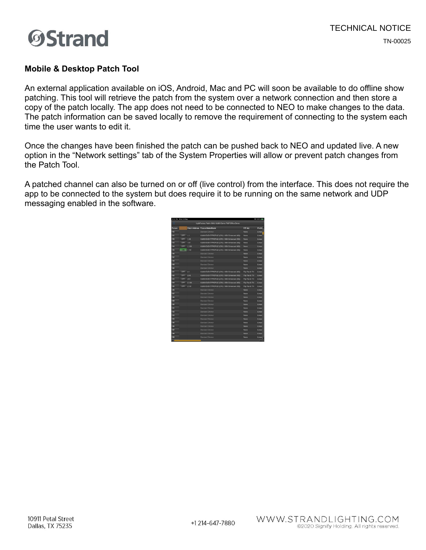

#### **Mobile & Desktop Patch Tool**

An external application available on iOS, Android, Mac and PC will soon be available to do offline show patching. This tool will retrieve the patch from the system over a network connection and then store a copy of the patch locally. The app does not need to be connected to NEO to make changes to the data. The patch information can be saved locally to remove the requirement of connecting to the system each time the user wants to edit it.

Once the changes have been finished the patch can be pushed back to NEO and updated live. A new option in the "Network settings" tab of the System Properties will allow or prevent patch changes from the Patch Tool.

A patched channel can also be turned on or off (live control) from the interface. This does not require the app to be connected to the system but does require it to be running on the same network and UDP messaging enabled in the software.

| <b>SHAKE MYNT THEORY AND IMAGE</b> |            |       |                                                     |                 | <b><i><u>PASSAGE</u></i></b> |
|------------------------------------|------------|-------|-----------------------------------------------------|-----------------|------------------------------|
|                                    |            |       | LightFactory Patch: SMU VL800 Demo PWP Office Demo- |                 |                              |
| <b>Flature</b>                     |            |       | Patch Address Fixture Make/Model                    | P/T Adj         | <b>Profile</b>               |
| 110                                |            |       | Standard Dimmer                                     | None            | Linear                       |
| 111                                | OFF        | 1.1   | VL800 EVENTPROFILE (270) (16BI Enhanced (46))       | None            | Linear                       |
| 112                                | OFF        | 1.46  | VL800 EVENTPROFILE (270) (16Bit Enhanced (46))      | None            | Linear                       |
| 113                                | OFF        | 1.91  | VL800 EVENTPROFILE (270) (16Bit Enhanced (46))      | None            | Linear                       |
| 114                                | OFF        | 1.136 | VL800 EVENTPROFILE (270) (16Bit Enhanced (46))      | None            | Linear                       |
| 115                                | ON         | 1.181 | VL800 EVENTPROFILE (270) (16Bit Enhanced (46))      | None            | Linear                       |
| 116                                |            |       | Standard Dim                                        | None            | Linear                       |
| 117                                |            |       | Standard Dimmer                                     | None            | Linear                       |
| 118                                |            |       | Standard Dimmer                                     | None            | Linear                       |
| 119                                |            |       | <b>Standard Dimmer</b>                              | None            | Linear                       |
| 120                                |            |       | <b>Standard Dimmer</b>                              | None            | Linear                       |
| 121                                | OFF        | 2.1   | VL800 EVENTPROFILE (270) (16Bit Enhanced (46))      | File Pan & Tilt | Linear                       |
| 122                                | OFF        | 245   | VL800 EVENTPROFILE (270) (16BIt Enhanced (46))      | Filo Pan & Titt | Linear                       |
| 123                                | OFF        | 2.91  | VL800 EVENTPROFILE (270) (16Bit Enhanced (46))      | Fão Pan & Titl  | Linear                       |
| 124                                | <b>OFF</b> | 2.136 | VL800 EVENTPROFILE (270) (16BIt Enhanced (46))      | Filo Pan & Titl | Linear                       |
| 125                                | OFF        | 2.181 | VL800 EVENTPROFILE (270) (16Bit Enhanced (46))      | Fão Pan & Titl  | Linear                       |
| 126                                |            |       | Standard Dimmer                                     | None            | Linear                       |
| 127                                |            |       | Standard Dimmer                                     | None            | Linear                       |
| 128                                |            |       | Standard Dimmer                                     | None            | Linear                       |
| 129                                |            |       | Standard Dimmer                                     | None            | Linear                       |
| 130                                |            |       | Standard Dimmer                                     | None            | Linear                       |
| 131                                |            |       | Standard Dimmer                                     | None            | Linear                       |
| 132                                |            |       | Standard Dimmer                                     | None            | Linear                       |
| 133                                |            |       | Standard Dimmer                                     | None            | Linear                       |
| 134                                |            |       | Standard Dimmor                                     | None            | Linear                       |
| 135                                |            |       | Standard Dimmer                                     | None            | Linear                       |
| 136                                |            |       | <b>Standard Dimmor</b>                              | None            | Linear                       |
| 137                                |            |       | Standard Dimmer                                     | None            | Linear                       |
| 138                                |            |       | <b>Standard Dimmer</b>                              | None            | Linear                       |
| 139                                |            |       | Standard Dimmer                                     | None            | Linear                       |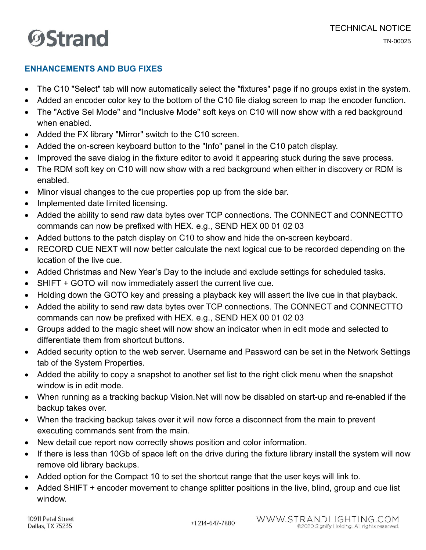#### **ENHANCEMENTS AND BUG FIXES**

- The C10 "Select" tab will now automatically select the "fixtures" page if no groups exist in the system.
- Added an encoder color key to the bottom of the C10 file dialog screen to map the encoder function.
- The "Active Sel Mode" and "Inclusive Mode" soft keys on C10 will now show with a red background when enabled.
- Added the FX library "Mirror" switch to the C10 screen.
- Added the on-screen keyboard button to the "Info" panel in the C10 patch display.
- Improved the save dialog in the fixture editor to avoid it appearing stuck during the save process.
- The RDM soft key on C10 will now show with a red background when either in discovery or RDM is enabled.
- Minor visual changes to the cue properties pop up from the side bar.
- Implemented date limited licensing.
- Added the ability to send raw data bytes over TCP connections. The CONNECT and CONNECTTO commands can now be prefixed with HEX. e.g., SEND HEX 00 01 02 03
- Added buttons to the patch display on C10 to show and hide the on-screen keyboard.
- RECORD CUE NEXT will now better calculate the next logical cue to be recorded depending on the location of the live cue.
- Added Christmas and New Year's Day to the include and exclude settings for scheduled tasks.
- SHIFT + GOTO will now immediately assert the current live cue.
- Holding down the GOTO key and pressing a playback key will assert the live cue in that playback.
- Added the ability to send raw data bytes over TCP connections. The CONNECT and CONNECTTO commands can now be prefixed with HEX. e.g., SEND HEX 00 01 02 03
- Groups added to the magic sheet will now show an indicator when in edit mode and selected to differentiate them from shortcut buttons.
- Added security option to the web server. Username and Password can be set in the Network Settings tab of the System Properties.
- Added the ability to copy a snapshot to another set list to the right click menu when the snapshot window is in edit mode.
- When running as a tracking backup Vision.Net will now be disabled on start-up and re-enabled if the backup takes over.
- When the tracking backup takes over it will now force a disconnect from the main to prevent executing commands sent from the main.
- New detail cue report now correctly shows position and color information.
- If there is less than 10Gb of space left on the drive during the fixture library install the system will now remove old library backups.
- Added option for the Compact 10 to set the shortcut range that the user keys will link to.
- Added SHIFT + encoder movement to change splitter positions in the live, blind, group and cue list window.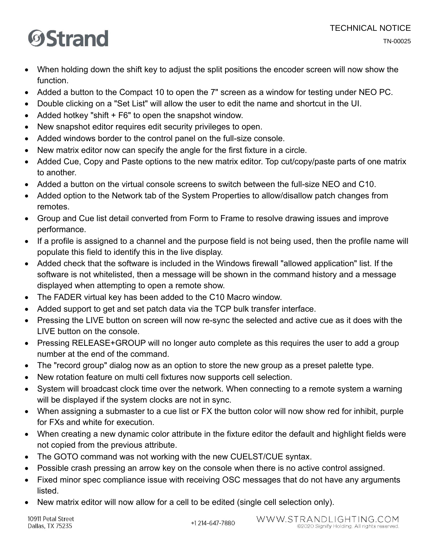- When holding down the shift key to adjust the split positions the encoder screen will now show the function.
- Added a button to the Compact 10 to open the 7" screen as a window for testing under NEO PC.
- Double clicking on a "Set List" will allow the user to edit the name and shortcut in the UI.
- Added hotkey "shift + F6" to open the snapshot window.
- New snapshot editor requires edit security privileges to open.
- Added windows border to the control panel on the full-size console.
- New matrix editor now can specify the angle for the first fixture in a circle.
- Added Cue, Copy and Paste options to the new matrix editor. Top cut/copy/paste parts of one matrix to another.
- Added a button on the virtual console screens to switch between the full-size NEO and C10.
- Added option to the Network tab of the System Properties to allow/disallow patch changes from remotes.
- Group and Cue list detail converted from Form to Frame to resolve drawing issues and improve performance.
- If a profile is assigned to a channel and the purpose field is not being used, then the profile name will populate this field to identify this in the live display.
- Added check that the software is included in the Windows firewall "allowed application" list. If the software is not whitelisted, then a message will be shown in the command history and a message displayed when attempting to open a remote show.
- The FADER virtual key has been added to the C10 Macro window.
- Added support to get and set patch data via the TCP bulk transfer interface.
- Pressing the LIVE button on screen will now re-sync the selected and active cue as it does with the LIVE button on the console.
- Pressing RELEASE+GROUP will no longer auto complete as this requires the user to add a group number at the end of the command.
- The "record group" dialog now as an option to store the new group as a preset palette type.
- New rotation feature on multi cell fixtures now supports cell selection.
- System will broadcast clock time over the network. When connecting to a remote system a warning will be displayed if the system clocks are not in sync.
- When assigning a submaster to a cue list or FX the button color will now show red for inhibit, purple for FXs and white for execution.
- When creating a new dynamic color attribute in the fixture editor the default and highlight fields were not copied from the previous attribute.
- The GOTO command was not working with the new CUELST/CUE syntax.
- Possible crash pressing an arrow key on the console when there is no active control assigned.
- Fixed minor spec compliance issue with receiving OSC messages that do not have any arguments listed.
- New matrix editor will now allow for a cell to be edited (single cell selection only).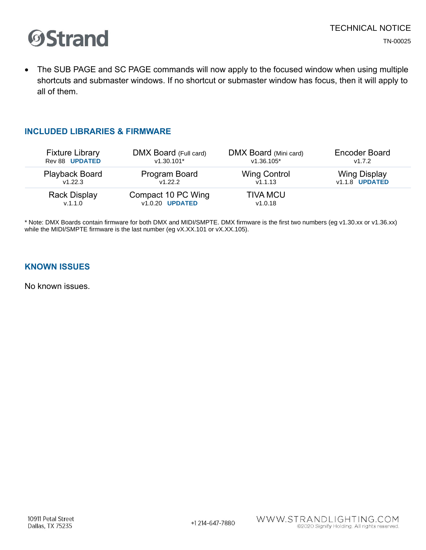

• The SUB PAGE and SC PAGE commands will now apply to the focused window when using multiple shortcuts and submaster windows. If no shortcut or submaster window has focus, then it will apply to all of them.

#### **INCLUDED LIBRARIES & FIRMWARE**

| <b>Fixture Library</b> | DMX Board (Full card)  | DMX Board (Mini card) | <b>Encoder Board</b>  |
|------------------------|------------------------|-----------------------|-----------------------|
| Rev 88 UPDATED         | $v1.30.101*$           | $v1.36.105*$          | v1.7.2                |
| <b>Playback Board</b>  | Program Board          | <b>Wing Control</b>   | <b>Wing Display</b>   |
| V1.22.3                | v1.22.2                | v1.1.13               | <b>v1.1.8 UPDATED</b> |
| <b>Rack Display</b>    | Compact 10 PC Wing     | <b>TIVA MCU</b>       |                       |
| v.1.1.0                | v1.0.20 <b>UPDATED</b> | v1.0.18               |                       |

\* Note: DMX Boards contain firmware for both DMX and MIDI/SMPTE. DMX firmware is the first two numbers (eg v1.30.xx or v1.36.xx) while the MIDI/SMPTE firmware is the last number (eg vX.XX.101 or vX.XX.105).

#### **KNOWN ISSUES**

No known issues.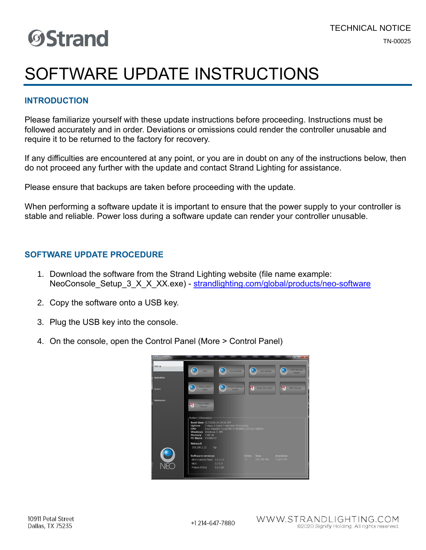### SOFTWARE UPDATE INSTRUCTIONS

#### **INTRODUCTION**

Please familiarize yourself with these update instructions before proceeding. Instructions must be followed accurately and in order. Deviations or omissions could render the controller unusable and require it to be returned to the factory for recovery.

If any difficulties are encountered at any point, or you are in doubt on any of the instructions below, then do not proceed any further with the update and contact Strand Lighting for assistance.

Please ensure that backups are taken before proceeding with the update.

When performing a software update it is important to ensure that the power supply to your controller is stable and reliable. Power loss during a software update can render your controller unusable.

#### **SOFTWARE UPDATE PROCEDURE**

- 1. Download the software from the Strand Lighting website (file name example: NeoConsole Setup 3 X X XX.exe) - [strandlighting.com/global/products/neo-software](http://www.strandlighting.com/global/products/neo-software)
- 2. Copy the software onto a USB key.
- 3. Plug the USB key into the console.
- 4. On the console, open the Control Panel (More > Control Panel)